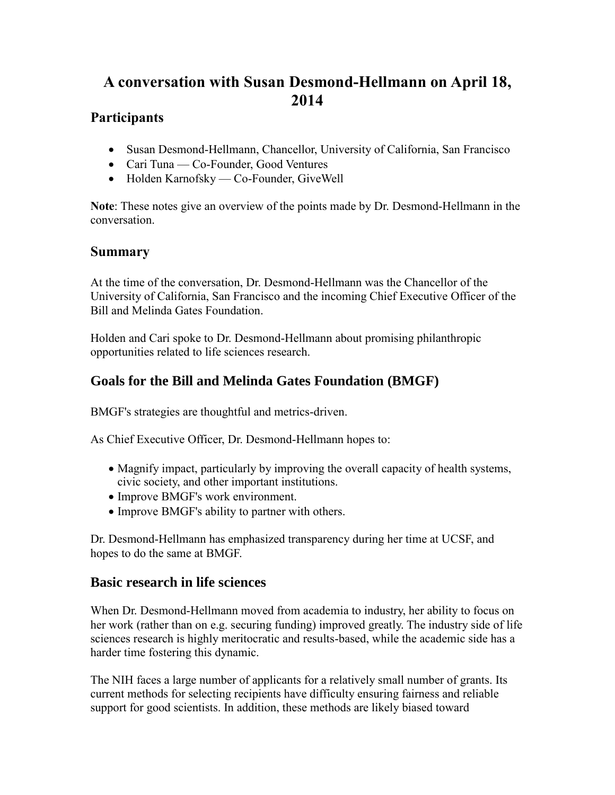# **A conversation with Susan Desmond-Hellmann on April 18, 2014**

### **Participants**

- Susan Desmond-Hellmann, Chancellor, University of California, San Francisco
- Cari Tuna Co-Founder, Good Ventures
- Holden Karnofsky Co-Founder, GiveWell

**Note**: These notes give an overview of the points made by Dr. Desmond-Hellmann in the conversation.

## **Summary**

At the time of the conversation, Dr. Desmond-Hellmann was the Chancellor of the University of California, San Francisco and the incoming Chief Executive Officer of the Bill and Melinda Gates Foundation.

Holden and Cari spoke to Dr. Desmond-Hellmann about promising philanthropic opportunities related to life sciences research.

# **Goals for the Bill and Melinda Gates Foundation (BMGF)**

BMGF's strategies are thoughtful and metrics-driven.

As Chief Executive Officer, Dr. Desmond-Hellmann hopes to:

- Magnify impact, particularly by improving the overall capacity of health systems, civic society, and other important institutions.
- Improve BMGF's work environment.
- Improve BMGF's ability to partner with others.

Dr. Desmond-Hellmann has emphasized transparency during her time at UCSF, and hopes to do the same at BMGF.

#### **Basic research in life sciences**

When Dr. Desmond-Hellmann moved from academia to industry, her ability to focus on her work (rather than on e.g. securing funding) improved greatly. The industry side of life sciences research is highly meritocratic and results-based, while the academic side has a harder time fostering this dynamic.

The NIH faces a large number of applicants for a relatively small number of grants. Its current methods for selecting recipients have difficulty ensuring fairness and reliable support for good scientists. In addition, these methods are likely biased toward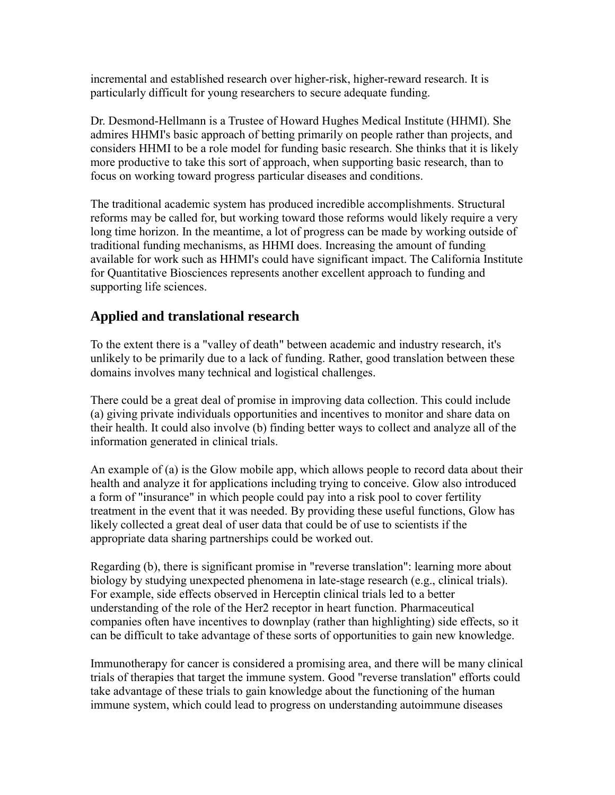incremental and established research over higher-risk, higher-reward research. It is particularly difficult for young researchers to secure adequate funding.

Dr. Desmond-Hellmann is a Trustee of Howard Hughes Medical Institute (HHMI). She admires HHMI's basic approach of betting primarily on people rather than projects, and considers HHMI to be a role model for funding basic research. She thinks that it is likely more productive to take this sort of approach, when supporting basic research, than to focus on working toward progress particular diseases and conditions.

The traditional academic system has produced incredible accomplishments. Structural reforms may be called for, but working toward those reforms would likely require a very long time horizon. In the meantime, a lot of progress can be made by working outside of traditional funding mechanisms, as HHMI does. Increasing the amount of funding available for work such as HHMI's could have significant impact. The California Institute for Quantitative Biosciences represents another excellent approach to funding and supporting life sciences.

#### **Applied and translational research**

To the extent there is a "valley of death" between academic and industry research, it's unlikely to be primarily due to a lack of funding. Rather, good translation between these domains involves many technical and logistical challenges.

There could be a great deal of promise in improving data collection. This could include (a) giving private individuals opportunities and incentives to monitor and share data on their health. It could also involve (b) finding better ways to collect and analyze all of the information generated in clinical trials.

An example of (a) is the Glow mobile app, which allows people to record data about their health and analyze it for applications including trying to conceive. Glow also introduced a form of "insurance" in which people could pay into a risk pool to cover fertility treatment in the event that it was needed. By providing these useful functions, Glow has likely collected a great deal of user data that could be of use to scientists if the appropriate data sharing partnerships could be worked out.

Regarding (b), there is significant promise in "reverse translation": learning more about biology by studying unexpected phenomena in late-stage research (e.g., clinical trials). For example, side effects observed in Herceptin clinical trials led to a better understanding of the role of the Her2 receptor in heart function. Pharmaceutical companies often have incentives to downplay (rather than highlighting) side effects, so it can be difficult to take advantage of these sorts of opportunities to gain new knowledge.

Immunotherapy for cancer is considered a promising area, and there will be many clinical trials of therapies that target the immune system. Good "reverse translation" efforts could take advantage of these trials to gain knowledge about the functioning of the human immune system, which could lead to progress on understanding autoimmune diseases